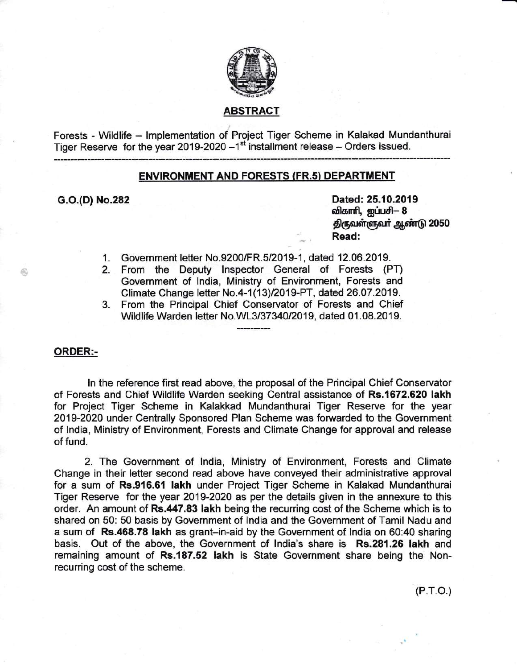

# ABSTRACT

Forests - Wildlife – Implementation of Project Tiger Scheme in Kalakad Mundanthura Tiger Reserve  $\,$  for the year 2019-2020  $-1^{\rm st}$  installment release  $-$  Orders issued.

# ENVIRONMENT AND FORESTS (FR.s} DEPARTMENT

G.O.(D) No.282 Dated: 25.10.2019 விகாரி, ஐப்பசி- 8 திருவள்ளுவர் ஆண்டு 2050 Read:

- 1. Government letter No.9200/FR.5/2019-1, dated 12.06.2019.
- 2. From the Deputy lnspector General of Forests (PT) Government of lndia, Ministry of Environment, Forests and Climate Change letter No.4-1 (13)12019-PT, dated 26.07.2019.
- 3. From the Principal Chief Conservator of Forests and Chief Wildlife Warden letter No.WL3/37340/2019, dated 01.08.2019.

ORDER:-

ln the reference first read above, the proposal of the Principal Chief Conservator of Forests and Chief Wildlife Warden seeking Central assistance of Rs.1672.620 lakh for Project Tiger Scheme in Kalakkad Mundanthurai Tiger Reserve for the year 2019-2020 under Centrally Sponsored Plan Scheme was forwarded to the Government of lndia, Ministry of Environment, Forests and Climate Change for approval and release of fund.

2. The Government of lndia, Ministry of Environment, Forests and Climate Change in their letter second read above have conveyed their administrative approval for a sum of Rs.916.61 lakh under Project Tiger Scheme in Kalakad Mundanthurai Tiger Reserve for the year 2019-2020 as per the details given in the annexure to this order. An amount of Rs.447.83 lakh being the recurring cost of the Scheme which is to shared on 50: 50 basis by Government of lndia and the Government of Tamil Nadu and a sum of Rs.468.78 lakh as grant-in-aid by the Government of lndia on 60:40 sharing basis. Out of the above, the Government of lndia's share is Rs.281.26 lakh and remaining amount of Rs.187.52 lakh is State Government share being the Nonrecurring cost of the scheme.

(P.r.o.)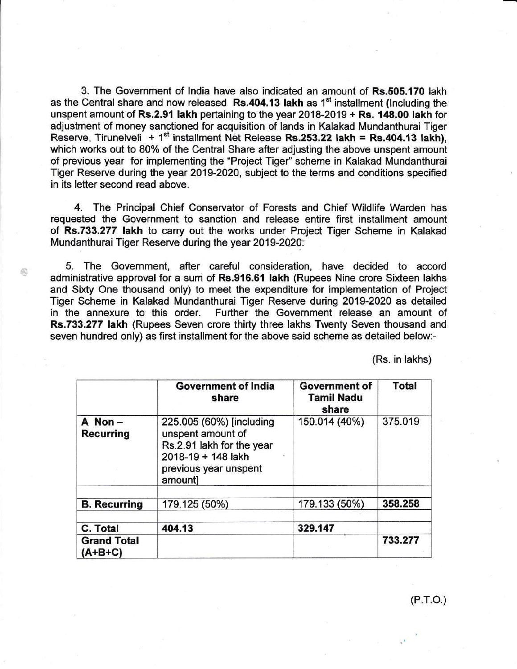3. The Government of lndia have also indicated an amount of Rs.505.170 lakh as the Central share and now released  $\overline{Rs}.404.13$  lakh as 1<sup>st</sup> installment (Including the unspent amount of Rs.2.91 lakh pertaining to the year 2018-2019 + Rs. 148.00 lakh for adjustment of money sanctioned for acquisition of lands in Kalakad Mundanthurai Tiger Reserve, Tirunelveli + 1<sup>st</sup> installment Net Release Rs.253.22 lakh = Rs.404.13 lakh). which works out to 80% of the Central Share after adjusting the above unspent amount of previous year for implementing the "Project Tiger" scheme in Kalakad Mundanthurai Tiger Reserve during the year 2019-2020, subject to the terms and conditions specified in its letter second read above.

4. The Principal Chief Conservator of Forests and Chief Wildlife Warden has requested the Government to sanction and release entire first installment amount of Rs.733.277 lakh to carry out the works under Project Tiger Scheme in Kalakad Mundanthurai Tiger Reserve during the year 2019-2020.

5. The Government, after careful consideration, have decided to accord administrative approval for a sum of Rs.916.61 lakh (Rupees Nine crore Sixteen lakhs and Sixty One thousand only) to meet the expenditure for implementation of Project Tiger Scheme in Kalakad Mundanthurai Tiger Reserve during 2019-2020 as detailed in the annexure to this order. Further the Government release an amount of Rs.733.277 lakh (Rupees Seven crore thirty three lakhs Twenty Seven thousand and seven hundred only) as first installment for the above said scheme as detailed below:-

6

(Rs. in lakhs)

|                               | <b>Government of India</b><br>share                                                                                                  | <b>Government of</b><br><b>Tamil Nadu</b><br>share | <b>Total</b> |
|-------------------------------|--------------------------------------------------------------------------------------------------------------------------------------|----------------------------------------------------|--------------|
| A Non-<br><b>Recurring</b>    | 225.005 (60%) [including<br>unspent amount of<br>Rs.2.91 lakh for the year<br>2018-19 + 148 lakh<br>previous year unspent<br>amountl | 150.014 (40%)                                      | 375.019      |
| <b>B.</b> Recurring           | 179.125 (50%)                                                                                                                        | 179.133 (50%)                                      | 358.258      |
| C. Total                      | 404.13                                                                                                                               | 329.147                                            |              |
| <b>Grand Total</b><br>(A+B+C) |                                                                                                                                      |                                                    | 733.277      |

(P.r.o.)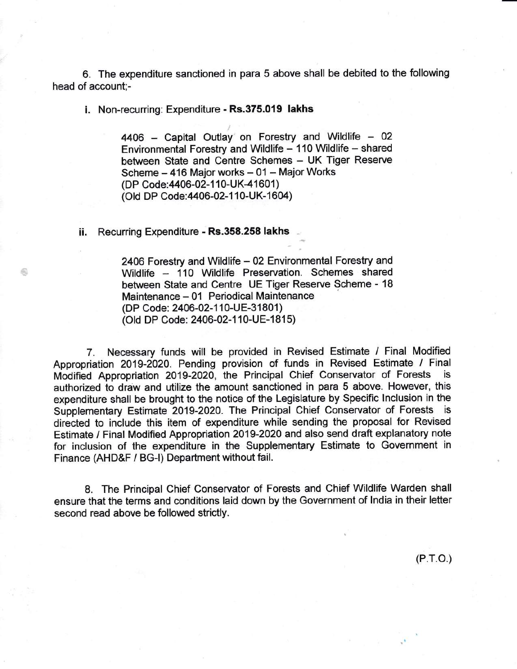6. The expenditure sanctioned in para 5 above shall be debited to the following head of account;-

i. Non-recurring: Expenditure - Rs.375.019 lakhs

 $4406$  - Capital Outlay on Forestry and Wildlife - 02 Environmental Forestry and Wildlife - 110 Wildlife - shared between State and Centre Schemes - UK Tiger Reserve Scheme - 416 Major works - 01 - Major Works (DP Code: 4406-02-110-UK-41601) (Old DP Code: 4406-02-110-UK-1604)

## ii. Recurring Expenditure - Rs.358.258 lakhs

2406 Forestry and Wildlife - 02 Environmental Forestry and Wildlife - 110 Wildlife Preservation. Schemes shared between State and Centre UE Tiger Reserve Scheme - <sup>18</sup> Maintenance - 01 Periodical Maintenance (DP Code: 2406-02-110-UE-31801) (Old DP Code: 2406-02-110-UE-1815)

7. Necessary funds will be provided in Revised Estimate / Final Modified Appropriation 2019-2020. Pending provision of funds in Revised Estimate / Final Modified Appropriation 2019-2020, the Principal Chief Conservator of Forests is authorized to draw and utilize the amount sanctioned in para 5 above. However, this expenditure shall be brought to the notice of the Legislature by Specific lnclusion in the Supplementary Estimate 2019-2020. The Principal Chief Conservator of Forests is directed to include this item of expenditure while sending the proposal for Revised Estimate / Final Modified Appropriation 2019-2020 and also send draft explanatory note for inclusion of the expenditure in the Supplementary Estimate to Government in Finance (AHD&F / BG-l) Department without fail.

8. The Principal Chief Conservator of Forests and Chief Wildlife Warden shall ensure that the terms and conditions laid down by the Government of lndia in their letter second read above be followed strictly.